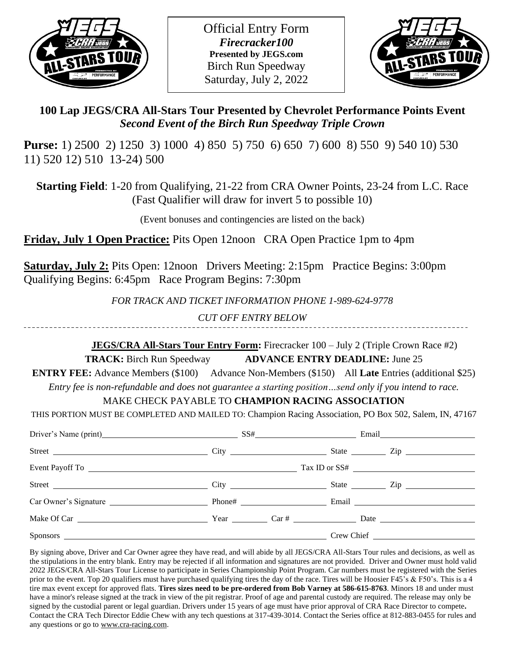

Official Entry Form *Firecracker100* **Presented by JEGS.com** Birch Run Speedway Saturday, July 2, 2022



## **100 Lap JEGS/CRA All-Stars Tour Presented by Chevrolet Performance Points Event** *Second Event of the Birch Run Speedway Triple Crown*

**Purse:** 1) 2500 2) 1250 3) 1000 4) 850 5) 750 6) 650 7) 600 8) 550 9) 540 10) 530 11) 520 12) 510 13-24) 500

**Starting Field**: 1-20 from Qualifying, 21-22 from CRA Owner Points, 23-24 from L.C. Race (Fast Qualifier will draw for invert 5 to possible 10)

(Event bonuses and contingencies are listed on the back)

**Friday, July 1 Open Practice:** Pits Open 12noon CRA Open Practice 1pm to 4pm

**Saturday, July 2:** Pits Open: 12noon Drivers Meeting: 2:15pm Practice Begins: 3:00pm Qualifying Begins: 6:45pm Race Program Begins: 7:30pm

*FOR TRACK AND TICKET INFORMATION PHONE 1-989-624-9778*

*CUT OFF ENTRY BELOW*

 **JEGS/CRA All-Stars Tour Entry Form:** Firecracker 100 – July 2 (Triple Crown Race #2) **TRACK:** Birch Run Speedway **ADVANCE ENTRY DEADLINE:** June 25

**ENTRY FEE:** Advance Members (\$100) Advance Non-Members (\$150) All **Late** Entries (additional \$25)

*Entry fee is non-refundable and does not guarantee a starting position…send only if you intend to race.*

MAKE CHECK PAYABLE TO **CHAMPION RACING ASSOCIATION**

THIS PORTION MUST BE COMPLETED AND MAILED TO: Champion Racing Association, PO Box 502, Salem, IN, 47167

| Driver's Name (print) SS# Email Email |  |  |                                  |
|---------------------------------------|--|--|----------------------------------|
| Street City                           |  |  | State <u>and</u> Zip             |
|                                       |  |  | Tax ID or SS#                    |
|                                       |  |  | State <u>Constantine and Zip</u> |
|                                       |  |  |                                  |
|                                       |  |  |                                  |
|                                       |  |  |                                  |

By signing above, Driver and Car Owner agree they have read, and will abide by all JEGS/CRA All-Stars Tour rules and decisions, as well as the stipulations in the entry blank. Entry may be rejected if all information and signatures are not provided. Driver and Owner must hold valid 2022 JEGS/CRA All-Stars Tour License to participate in Series Championship Point Program. Car numbers must be registered with the Series prior to the event. Top 20 qualifiers must have purchased qualifying tires the day of the race. Tires will be Hoosier F45's & F50's. This is a 4 tire max event except for approved flats. **Tires sizes need to be pre-ordered from Bob Varney at 586-615-8763**. Minors 18 and under must have a minor's release signed at the track in view of the pit registrar. Proof of age and parental custody are required. The release may only be signed by the custodial parent or legal guardian. Drivers under 15 years of age must have prior approval of CRA Race Director to compete**.**  Contact the CRA Tech Director Eddie Chew with any tech questions at 317-439-3014. Contact the Series office at 812-883-0455 for rules and any questions or go to [www.cra-racing.com.](http://www.cra-racing.com/)